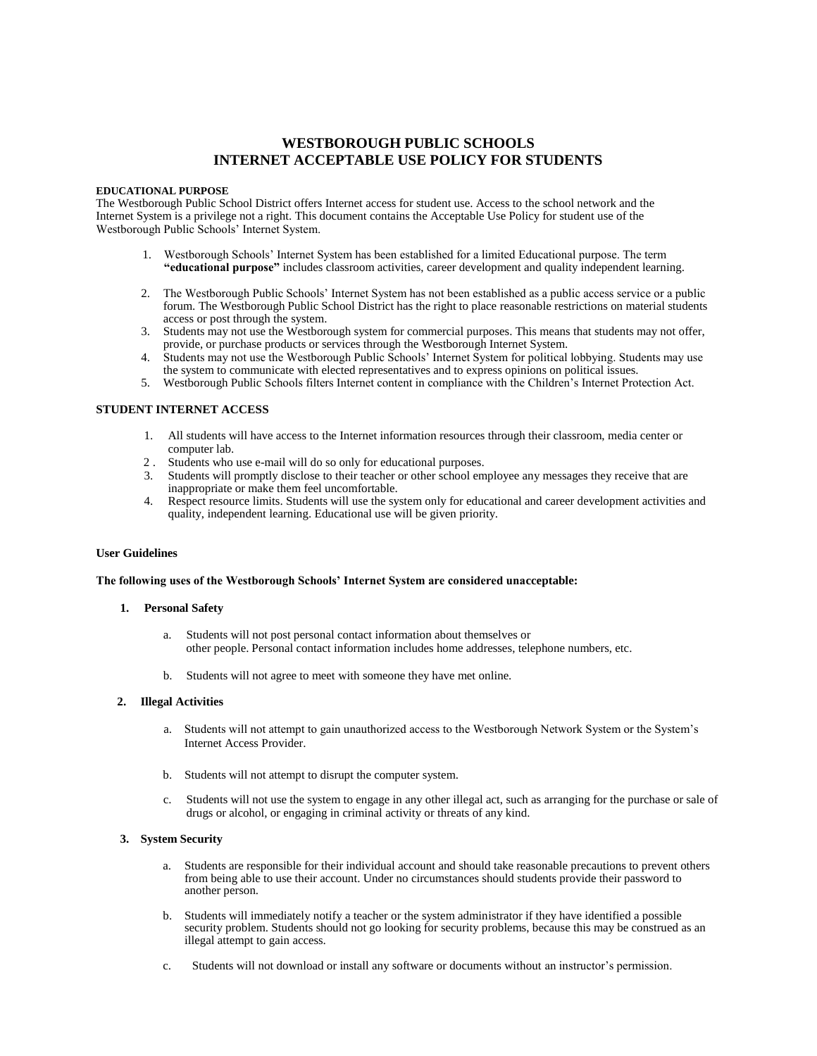# **WESTBOROUGH PUBLIC SCHOOLS INTERNET ACCEPTABLE USE POLICY FOR STUDENTS**

#### **EDUCATIONAL PURPOSE**

The Westborough Public School District offers Internet access for student use. Access to the school network and the Internet System is a privilege not a right. This document contains the Acceptable Use Policy for student use of the Westborough Public Schools' Internet System.

- 1. Westborough Schools' Internet System has been established for a limited Educational purpose. The term **"educational purpose"** includes classroom activities, career development and quality independent learning.
- 2. The Westborough Public Schools' Internet System has not been established as a public access service or a public forum. The Westborough Public School District has the right to place reasonable restrictions on material students access or post through the system.
- 3. Students may not use the Westborough system for commercial purposes. This means that students may not offer, provide, or purchase products or services through the Westborough Internet System.
- 4. Students may not use the Westborough Public Schools' Internet System for political lobbying. Students may use the system to communicate with elected representatives and to express opinions on political issues.
- 5. Westborough Public Schools filters Internet content in compliance with the Children's Internet Protection Act.

# **STUDENT INTERNET ACCESS**

- 1. All students will have access to the Internet information resources through their classroom, media center or computer lab.
- 2 . Students who use e-mail will do so only for educational purposes.
- 3. Students will promptly disclose to their teacher or other school employee any messages they receive that are inappropriate or make them feel uncomfortable.
- 4. Respect resource limits. Students will use the system only for educational and career development activities and quality, independent learning. Educational use will be given priority.

## **User Guidelines**

## **The following uses of the Westborough Schools' Internet System are considered unacceptable:**

#### **1. Personal Safety**

- a. Students will not post personal contact information about themselves or other people. Personal contact information includes home addresses, telephone numbers, etc.
- b. Students will not agree to meet with someone they have met online.

## **2. Illegal Activities**

- a. Students will not attempt to gain unauthorized access to the Westborough Network System or the System's Internet Access Provider.
- b. Students will not attempt to disrupt the computer system.
- c. Students will not use the system to engage in any other illegal act, such as arranging for the purchase or sale of drugs or alcohol, or engaging in criminal activity or threats of any kind.

## **3. System Security**

- a. Students are responsible for their individual account and should take reasonable precautions to prevent others from being able to use their account. Under no circumstances should students provide their password to another person.
- b. Students will immediately notify a teacher or the system administrator if they have identified a possible security problem. Students should not go looking for security problems, because this may be construed as an illegal attempt to gain access.
- c. Students will not download or install any software or documents without an instructor's permission.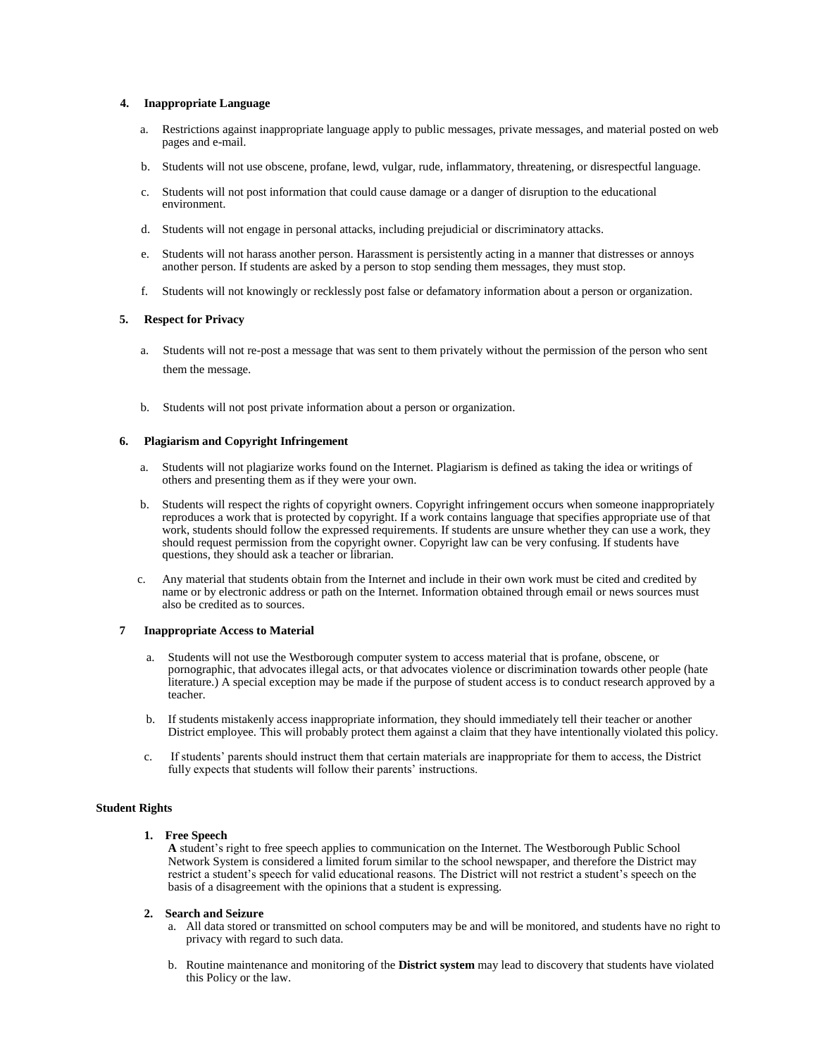## **4. Inappropriate Language**

- a. Restrictions against inappropriate language apply to public messages, private messages, and material posted on web pages and e-mail.
- b. Students will not use obscene, profane, lewd, vulgar, rude, inflammatory, threatening, or disrespectful language.
- c. Students will not post information that could cause damage or a danger of disruption to the educational environment.
- d. Students will not engage in personal attacks, including prejudicial or discriminatory attacks.
- e. Students will not harass another person. Harassment is persistently acting in a manner that distresses or annoys another person. If students are asked by a person to stop sending them messages, they must stop.
- f. Students will not knowingly or recklessly post false or defamatory information about a person or organization.

#### **5. Respect for Privacy**

- a. Students will not re-post a message that was sent to them privately without the permission of the person who sent them the message.
- b. Students will not post private information about a person or organization.

# **6. Plagiarism and Copyright Infringement**

- a. Students will not plagiarize works found on the Internet. Plagiarism is defined as taking the idea or writings of others and presenting them as if they were your own.
- b. Students will respect the rights of copyright owners. Copyright infringement occurs when someone inappropriately reproduces a work that is protected by copyright. If a work contains language that specifies appropriate use of that work, students should follow the expressed requirements. If students are unsure whether they can use a work, they should request permission from the copyright owner. Copyright law can be very confusing. If students have questions, they should ask a teacher or librarian.
- c. Any material that students obtain from the Internet and include in their own work must be cited and credited by name or by electronic address or path on the Internet. Information obtained through email or news sources must also be credited as to sources.

### **7 Inappropriate Access to Material**

- Students will not use the Westborough computer system to access material that is profane, obscene, or pornographic, that advocates illegal acts, or that advocates violence or discrimination towards other people (hate literature.) A special exception may be made if the purpose of student access is to conduct research approved by a teacher.
- b. If students mistakenly access inappropriate information, they should immediately tell their teacher or another District employee. This will probably protect them against a claim that they have intentionally violated this policy.
- c. If students' parents should instruct them that certain materials are inappropriate for them to access, the District fully expects that students will follow their parents' instructions.

# **Student Rights**

#### **1. Free Speech**

**A** student's right to free speech applies to communication on the Internet. The Westborough Public School Network System is considered a limited forum similar to the school newspaper, and therefore the District may restrict a student's speech for valid educational reasons. The District will not restrict a student's speech on the basis of a disagreement with the opinions that a student is expressing.

#### **2. Search and Seizure**

- a. All data stored or transmitted on school computers may be and will be monitored, and students have no right to privacy with regard to such data.
- b. Routine maintenance and monitoring of the **District system** may lead to discovery that students have violated this Policy or the law.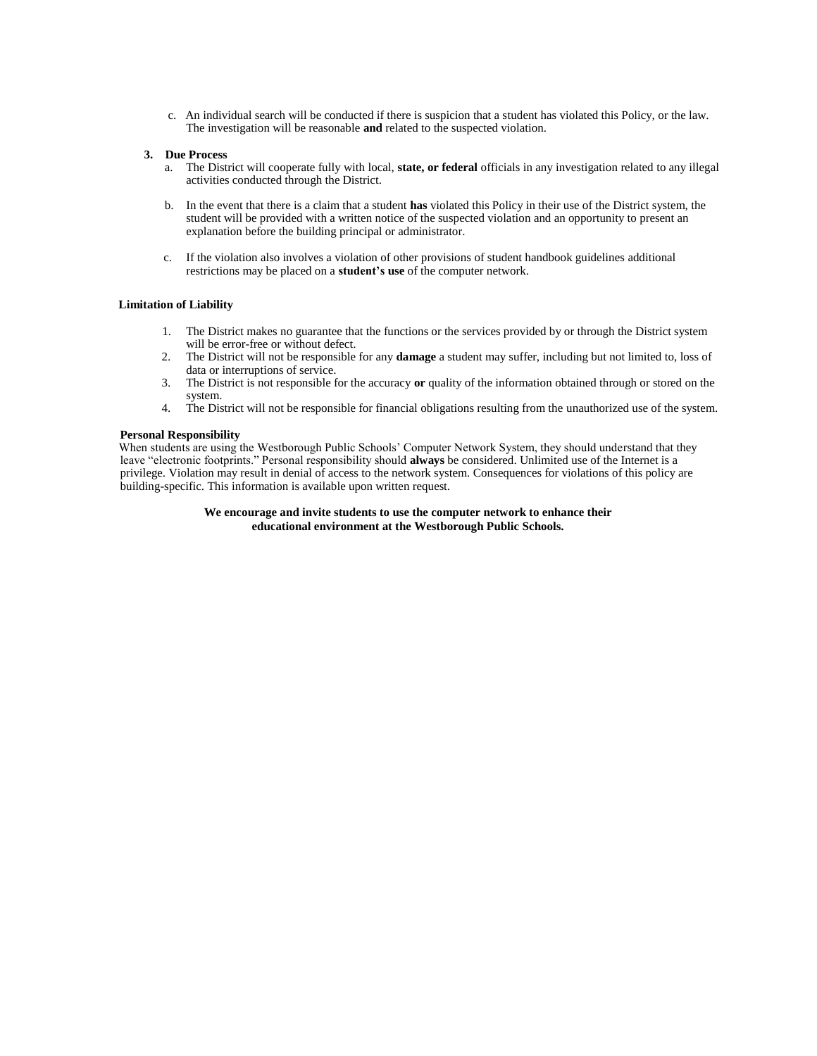c. An individual search will be conducted if there is suspicion that a student has violated this Policy, or the law. The investigation will be reasonable **and** related to the suspected violation.

#### **3. Due Process**

- a. The District will cooperate fully with local, **state, or federal** officials in any investigation related to any illegal activities conducted through the District.
- b. In the event that there is a claim that a student **has** violated this Policy in their use of the District system, the student will be provided with a written notice of the suspected violation and an opportunity to present an explanation before the building principal or administrator.
- c. If the violation also involves a violation of other provisions of student handbook guidelines additional restrictions may be placed on a **student's use** of the computer network.

## **Limitation of Liability**

- 1. The District makes no guarantee that the functions or the services provided by or through the District system will be error-free or without defect.
- 2. The District will not be responsible for any **damage** a student may suffer, including but not limited to, loss of data or interruptions of service.
- 3. The District is not responsible for the accuracy **or** quality of the information obtained through or stored on the system.
- 4. The District will not be responsible for financial obligations resulting from the unauthorized use of the system.

#### **Personal Responsibility**

When students are using the Westborough Public Schools' Computer Network System, they should understand that they leave "electronic footprints." Personal responsibility should **always** be considered. Unlimited use of the Internet is a privilege. Violation may result in denial of access to the network system. Consequences for violations of this policy are building-specific. This information is available upon written request.

# **We encourage and invite students to use the computer network to enhance their educational environment at the Westborough Public Schools.**